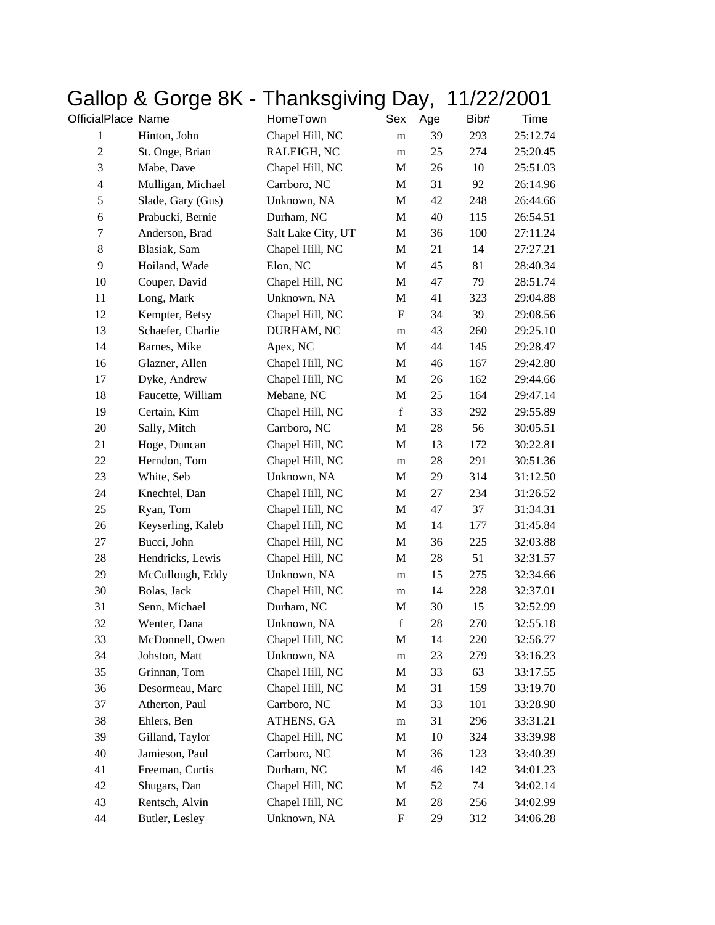|                    | Gallup & Guige on | Halinəyiviliy Day, |                           |        | I    | 1/22/2001 |
|--------------------|-------------------|--------------------|---------------------------|--------|------|-----------|
| OfficialPlace Name |                   | HomeTown           | Sex                       | Age    | Bib# | Time      |
| 1                  | Hinton, John      | Chapel Hill, NC    | m                         | 39     | 293  | 25:12.74  |
| $\overline{2}$     | St. Onge, Brian   | RALEIGH, NC        | m                         | 25     | 274  | 25:20.45  |
| 3                  | Mabe, Dave        | Chapel Hill, NC    | $\mathbf M$               | 26     | 10   | 25:51.03  |
| $\overline{4}$     | Mulligan, Michael | Carrboro, NC       | M                         | 31     | 92   | 26:14.96  |
| 5                  | Slade, Gary (Gus) | Unknown, NA        | M                         | 42     | 248  | 26:44.66  |
| $\epsilon$         | Prabucki, Bernie  | Durham, NC         | $\mathbf M$               | 40     | 115  | 26:54.51  |
| $\tau$             | Anderson, Brad    | Salt Lake City, UT | M                         | 36     | 100  | 27:11.24  |
| $8\,$              | Blasiak, Sam      | Chapel Hill, NC    | M                         | 21     | 14   | 27:27.21  |
| 9                  | Hoiland, Wade     | Elon, NC           | $\mathbf M$               | 45     | 81   | 28:40.34  |
| 10                 | Couper, David     | Chapel Hill, NC    | M                         | 47     | 79   | 28:51.74  |
| 11                 | Long, Mark        | Unknown, NA        | $\mathbf M$               | 41     | 323  | 29:04.88  |
| 12                 | Kempter, Betsy    | Chapel Hill, NC    | $\boldsymbol{\mathrm{F}}$ | 34     | 39   | 29:08.56  |
| 13                 | Schaefer, Charlie | DURHAM, NC         | m                         | 43     | 260  | 29:25.10  |
| 14                 | Barnes, Mike      | Apex, NC           | M                         | 44     | 145  | 29:28.47  |
| 16                 | Glazner, Allen    | Chapel Hill, NC    | M                         | 46     | 167  | 29:42.80  |
| 17                 | Dyke, Andrew      | Chapel Hill, NC    | M                         | 26     | 162  | 29:44.66  |
| 18                 | Faucette, William | Mebane, NC         | M                         | 25     | 164  | 29:47.14  |
| 19                 | Certain, Kim      | Chapel Hill, NC    | $\mathbf f$               | 33     | 292  | 29:55.89  |
| 20                 | Sally, Mitch      | Carrboro, NC       | $\mathbf M$               | $28\,$ | 56   | 30:05.51  |
| 21                 | Hoge, Duncan      | Chapel Hill, NC    | M                         | 13     | 172  | 30:22.81  |
| 22                 | Herndon, Tom      | Chapel Hill, NC    | m                         | $28\,$ | 291  | 30:51.36  |
| 23                 | White, Seb        | Unknown, NA        | M                         | 29     | 314  | 31:12.50  |
| 24                 | Knechtel, Dan     | Chapel Hill, NC    | M                         | 27     | 234  | 31:26.52  |
| 25                 | Ryan, Tom         | Chapel Hill, NC    | M                         | 47     | 37   | 31:34.31  |
| 26                 | Keyserling, Kaleb | Chapel Hill, NC    | $\mathbf M$               | 14     | 177  | 31:45.84  |
| 27                 | Bucci, John       | Chapel Hill, NC    | M                         | 36     | 225  | 32:03.88  |
| 28                 | Hendricks, Lewis  | Chapel Hill, NC    | M                         | 28     | 51   | 32:31.57  |
| 29                 | McCullough, Eddy  | Unknown, NA        | m                         | 15     | 275  | 32:34.66  |
| 30                 | Bolas, Jack       | Chapel Hill, NC    | m                         | 14     | 228  | 32:37.01  |
| 31                 | Senn, Michael     | Durham, NC         | M                         | 30     | 15   | 32:52.99  |
| 32                 | Wenter, Dana      | Unknown, NA        | f                         | $28\,$ | 270  | 32:55.18  |
| 33                 | McDonnell, Owen   | Chapel Hill, NC    | M                         | 14     | 220  | 32:56.77  |
| 34                 | Johston, Matt     | Unknown, NA        | m                         | 23     | 279  | 33:16.23  |
| 35                 | Grinnan, Tom      | Chapel Hill, NC    | M                         | 33     | 63   | 33:17.55  |
| 36                 | Desormeau, Marc   | Chapel Hill, NC    | M                         | 31     | 159  | 33:19.70  |
| 37                 | Atherton, Paul    | Carrboro, NC       | M                         | 33     | 101  | 33:28.90  |
| 38                 | Ehlers, Ben       | ATHENS, GA         | m                         | 31     | 296  | 33:31.21  |
| 39                 | Gilland, Taylor   | Chapel Hill, NC    | M                         | 10     | 324  | 33:39.98  |
| 40                 | Jamieson, Paul    | Carrboro, NC       | M                         | 36     | 123  | 33:40.39  |
| 41                 | Freeman, Curtis   | Durham, NC         | M                         | 46     | 142  | 34:01.23  |
| 42                 | Shugars, Dan      | Chapel Hill, NC    | M                         | 52     | 74   | 34:02.14  |
| 43                 | Rentsch, Alvin    | Chapel Hill, NC    | M                         | 28     | 256  | 34:02.99  |
| 44                 | Butler, Lesley    | Unknown, NA        | $\boldsymbol{\mathrm{F}}$ | 29     | 312  | 34:06.28  |

## Gallop & Gorge 8K - Thanksgiving Day, 11/22/2001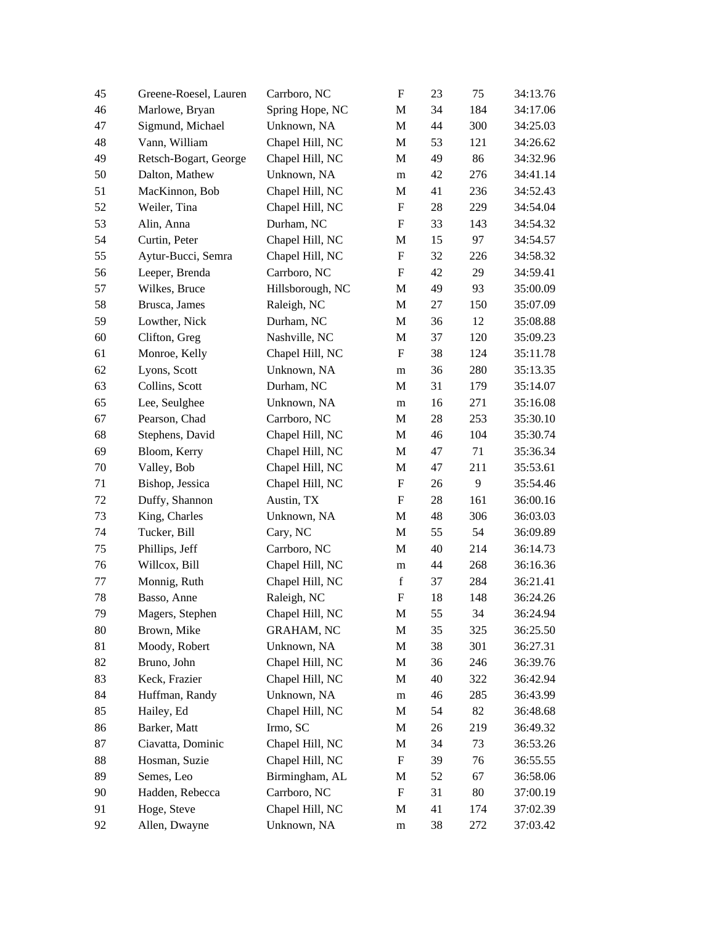| 45     | Greene-Roesel, Lauren | Carrboro, NC      | $\boldsymbol{\mathrm{F}}$ | 23     | 75  | 34:13.76 |
|--------|-----------------------|-------------------|---------------------------|--------|-----|----------|
| 46     | Marlowe, Bryan        | Spring Hope, NC   | M                         | 34     | 184 | 34:17.06 |
| 47     | Sigmund, Michael      | Unknown, NA       | M                         | 44     | 300 | 34:25.03 |
| 48     | Vann, William         | Chapel Hill, NC   | M                         | 53     | 121 | 34:26.62 |
| 49     | Retsch-Bogart, George | Chapel Hill, NC   | M                         | 49     | 86  | 34:32.96 |
| 50     | Dalton, Mathew        | Unknown, NA       | ${\bf m}$                 | 42     | 276 | 34:41.14 |
| 51     | MacKinnon, Bob        | Chapel Hill, NC   | M                         | 41     | 236 | 34:52.43 |
| 52     | Weiler, Tina          | Chapel Hill, NC   | $\boldsymbol{\mathrm{F}}$ | 28     | 229 | 34:54.04 |
| 53     | Alin, Anna            | Durham, NC        | $\boldsymbol{\mathrm{F}}$ | 33     | 143 | 34:54.32 |
| 54     | Curtin, Peter         | Chapel Hill, NC   | M                         | 15     | 97  | 34:54.57 |
| 55     | Aytur-Bucci, Semra    | Chapel Hill, NC   | $\boldsymbol{\mathrm{F}}$ | 32     | 226 | 34:58.32 |
| 56     | Leeper, Brenda        | Carrboro, NC      | $\boldsymbol{\mathrm{F}}$ | 42     | 29  | 34:59.41 |
| 57     | Wilkes, Bruce         | Hillsborough, NC  | M                         | 49     | 93  | 35:00.09 |
| 58     | Brusca, James         | Raleigh, NC       | M                         | 27     | 150 | 35:07.09 |
| 59     | Lowther, Nick         | Durham, NC        | M                         | 36     | 12  | 35:08.88 |
| 60     | Clifton, Greg         | Nashville, NC     | M                         | 37     | 120 | 35:09.23 |
| 61     | Monroe, Kelly         | Chapel Hill, NC   | $\boldsymbol{\mathrm{F}}$ | 38     | 124 | 35:11.78 |
| 62     | Lyons, Scott          | Unknown, NA       | ${\bf m}$                 | 36     | 280 | 35:13.35 |
| 63     | Collins, Scott        | Durham, NC        | M                         | 31     | 179 | 35:14.07 |
| 65     | Lee, Seulghee         | Unknown, NA       | m                         | 16     | 271 | 35:16.08 |
| 67     | Pearson, Chad         | Carrboro, NC      | M                         | 28     | 253 | 35:30.10 |
| 68     | Stephens, David       | Chapel Hill, NC   | M                         | 46     | 104 | 35:30.74 |
| 69     | Bloom, Kerry          | Chapel Hill, NC   | M                         | 47     | 71  | 35:36.34 |
| $70\,$ | Valley, Bob           | Chapel Hill, NC   | M                         | 47     | 211 | 35:53.61 |
| 71     | Bishop, Jessica       | Chapel Hill, NC   | $\boldsymbol{\mathrm{F}}$ | 26     | 9   | 35:54.46 |
| 72     | Duffy, Shannon        | Austin, TX        | $\boldsymbol{\mathrm{F}}$ | $28\,$ | 161 | 36:00.16 |
| 73     | King, Charles         | Unknown, NA       | M                         | 48     | 306 | 36:03.03 |
| 74     | Tucker, Bill          | Cary, NC          | M                         | 55     | 54  | 36:09.89 |
| 75     | Phillips, Jeff        | Carrboro, NC      | M                         | 40     | 214 | 36:14.73 |
| 76     | Willcox, Bill         | Chapel Hill, NC   | m                         | 44     | 268 | 36:16.36 |
| 77     | Monnig, Ruth          | Chapel Hill, NC   | $\mathbf f$               | 37     | 284 | 36:21.41 |
| 78     | Basso, Anne           | Raleigh, NC       | ${\bf F}$                 | 18     | 148 | 36:24.26 |
| 79     | Magers, Stephen       | Chapel Hill, NC   | M                         | 55     | 34  | 36:24.94 |
| 80     | Brown, Mike           | <b>GRAHAM, NC</b> | M                         | 35     | 325 | 36:25.50 |
| 81     | Moody, Robert         | Unknown, NA       | M                         | 38     | 301 | 36:27.31 |
| 82     | Bruno, John           | Chapel Hill, NC   | M                         | 36     | 246 | 36:39.76 |
| 83     | Keck, Frazier         | Chapel Hill, NC   | M                         | 40     | 322 | 36:42.94 |
| 84     | Huffman, Randy        | Unknown, NA       | m                         | 46     | 285 | 36:43.99 |
| 85     | Hailey, Ed            | Chapel Hill, NC   | M                         | 54     | 82  | 36:48.68 |
| 86     | Barker, Matt          | Irmo, SC          | M                         | 26     | 219 | 36:49.32 |
| 87     | Ciavatta, Dominic     | Chapel Hill, NC   | M                         | 34     | 73  | 36:53.26 |
| 88     | Hosman, Suzie         | Chapel Hill, NC   | F                         | 39     | 76  | 36:55.55 |
| 89     | Semes, Leo            | Birmingham, AL    | M                         | 52     | 67  | 36:58.06 |
| 90     | Hadden, Rebecca       | Carrboro, NC      | $\boldsymbol{\mathrm{F}}$ | 31     | 80  | 37:00.19 |
| 91     | Hoge, Steve           | Chapel Hill, NC   | M                         | 41     | 174 | 37:02.39 |
| 92     | Allen, Dwayne         | Unknown, NA       | ${\bf m}$                 | 38     | 272 | 37:03.42 |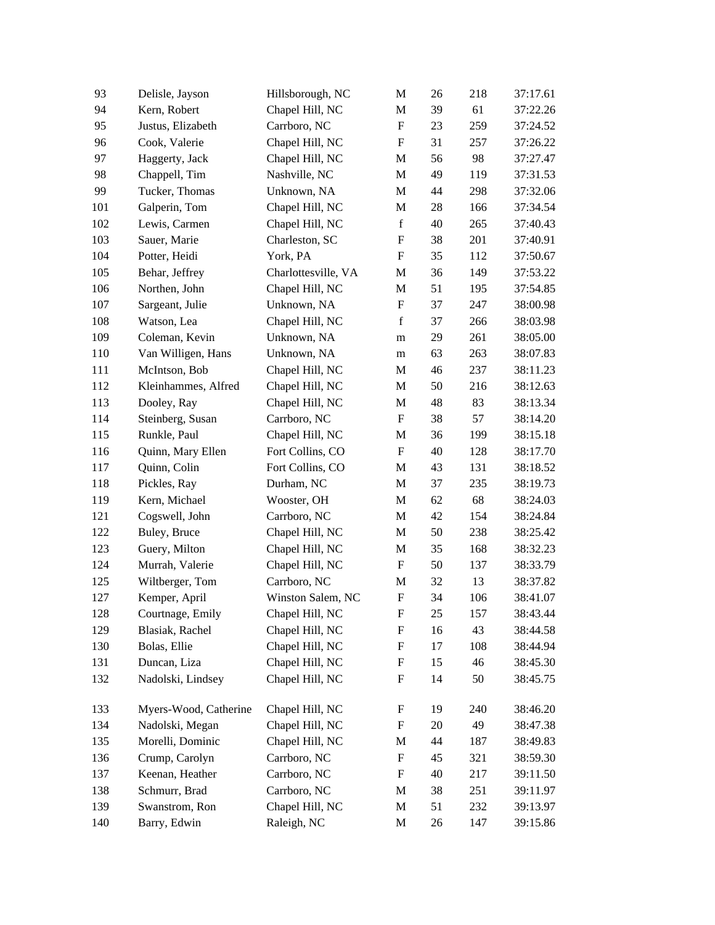| 93  | Delisle, Jayson       | Hillsborough, NC    | M                         | 26 | 218     | 37:17.61 |
|-----|-----------------------|---------------------|---------------------------|----|---------|----------|
| 94  | Kern, Robert          | Chapel Hill, NC     | M                         | 39 | 61      | 37:22.26 |
| 95  | Justus, Elizabeth     | Carrboro, NC        | $\mathbf F$               | 23 | 259     | 37:24.52 |
| 96  | Cook, Valerie         | Chapel Hill, NC     | $\mathbf F$               | 31 | 257     | 37:26.22 |
| 97  | Haggerty, Jack        | Chapel Hill, NC     | M                         | 56 | 98      | 37:27.47 |
| 98  | Chappell, Tim         | Nashville, NC       | M                         | 49 | 119     | 37:31.53 |
| 99  | Tucker, Thomas        | Unknown, NA         | M                         | 44 | 298     | 37:32.06 |
| 101 | Galperin, Tom         | Chapel Hill, NC     | M                         | 28 | 166     | 37:34.54 |
| 102 | Lewis, Carmen         | Chapel Hill, NC     | $\mathbf f$               | 40 | 265     | 37:40.43 |
| 103 | Sauer, Marie          | Charleston, SC      | $\boldsymbol{\mathrm{F}}$ | 38 | 201     | 37:40.91 |
| 104 | Potter, Heidi         | York, PA            | $\mathbf F$               | 35 | 112     | 37:50.67 |
| 105 | Behar, Jeffrey        | Charlottesville, VA | M                         | 36 | 149     | 37:53.22 |
| 106 | Northen, John         | Chapel Hill, NC     | M                         | 51 | 195     | 37:54.85 |
| 107 | Sargeant, Julie       | Unknown, NA         | $\mathbf F$               | 37 | 247     | 38:00.98 |
| 108 | Watson, Lea           | Chapel Hill, NC     | $\mathbf f$               | 37 | 266     | 38:03.98 |
| 109 | Coleman, Kevin        | Unknown, NA         | ${\rm m}$                 | 29 | 261     | 38:05.00 |
| 110 | Van Willigen, Hans    | Unknown, NA         | m                         | 63 | 263     | 38:07.83 |
| 111 | McIntson, Bob         | Chapel Hill, NC     | M                         | 46 | 237     | 38:11.23 |
| 112 | Kleinhammes, Alfred   | Chapel Hill, NC     | M                         | 50 | 216     | 38:12.63 |
| 113 | Dooley, Ray           | Chapel Hill, NC     | M                         | 48 | 83      | 38:13.34 |
| 114 | Steinberg, Susan      | Carrboro, NC        | $\mathbf F$               | 38 | 57      | 38:14.20 |
| 115 | Runkle, Paul          | Chapel Hill, NC     | M                         | 36 | 199     | 38:15.18 |
| 116 | Quinn, Mary Ellen     | Fort Collins, CO    | $\boldsymbol{\mathrm{F}}$ | 40 | 128     | 38:17.70 |
| 117 | Quinn, Colin          | Fort Collins, CO    | M                         | 43 | 131     | 38:18.52 |
| 118 | Pickles, Ray          | Durham, NC          | M                         | 37 | 235     | 38:19.73 |
| 119 | Kern, Michael         | Wooster, OH         | M                         | 62 | 68      | 38:24.03 |
| 121 | Cogswell, John        | Carrboro, NC        | M                         | 42 | 154     | 38:24.84 |
| 122 | Buley, Bruce          | Chapel Hill, NC     | M                         | 50 | 238     | 38:25.42 |
| 123 | Guery, Milton         | Chapel Hill, NC     | M                         | 35 | 168     | 38:32.23 |
| 124 | Murrah, Valerie       | Chapel Hill, NC     | $\boldsymbol{\mathrm{F}}$ | 50 | 137     | 38:33.79 |
| 125 | Wiltberger, Tom       | Carrboro, NC        | M                         | 32 | 13      | 38:37.82 |
| 127 | Kemper, April         | Winston Salem, NC   | $\mathbf F$               | 34 | 106     | 38:41.07 |
| 128 | Courtnage, Emily      | Chapel Hill, NC     | F                         | 25 | 157     | 38:43.44 |
| 129 | Blasiak, Rachel       | Chapel Hill, NC     | F                         | 16 | 43      | 38:44.58 |
| 130 | Bolas, Ellie          | Chapel Hill, NC     | $\boldsymbol{\mathrm{F}}$ | 17 | 108     | 38:44.94 |
| 131 | Duncan, Liza          | Chapel Hill, NC     | $\boldsymbol{\mathrm{F}}$ | 15 | 46      | 38:45.30 |
| 132 | Nadolski, Lindsey     | Chapel Hill, NC     | $\boldsymbol{\mathrm{F}}$ | 14 | 50      | 38:45.75 |
| 133 | Myers-Wood, Catherine | Chapel Hill, NC     | $\boldsymbol{\mathrm{F}}$ | 19 | 240     | 38:46.20 |
| 134 | Nadolski, Megan       | Chapel Hill, NC     | $\boldsymbol{\mathrm{F}}$ | 20 | 49      | 38:47.38 |
| 135 | Morelli, Dominic      | Chapel Hill, NC     | M                         | 44 | 187     | 38:49.83 |
| 136 | Crump, Carolyn        | Carrboro, NC        | F                         | 45 | 321     | 38:59.30 |
| 137 | Keenan, Heather       | Carrboro, NC        | $\boldsymbol{\mathrm{F}}$ | 40 | 217     | 39:11.50 |
| 138 | Schmurr, Brad         | Carrboro, NC        | M                         | 38 | $251\,$ | 39:11.97 |
| 139 | Swanstrom, Ron        | Chapel Hill, NC     | M                         | 51 | 232     | 39:13.97 |
| 140 | Barry, Edwin          | Raleigh, NC         | M                         | 26 | 147     | 39:15.86 |
|     |                       |                     |                           |    |         |          |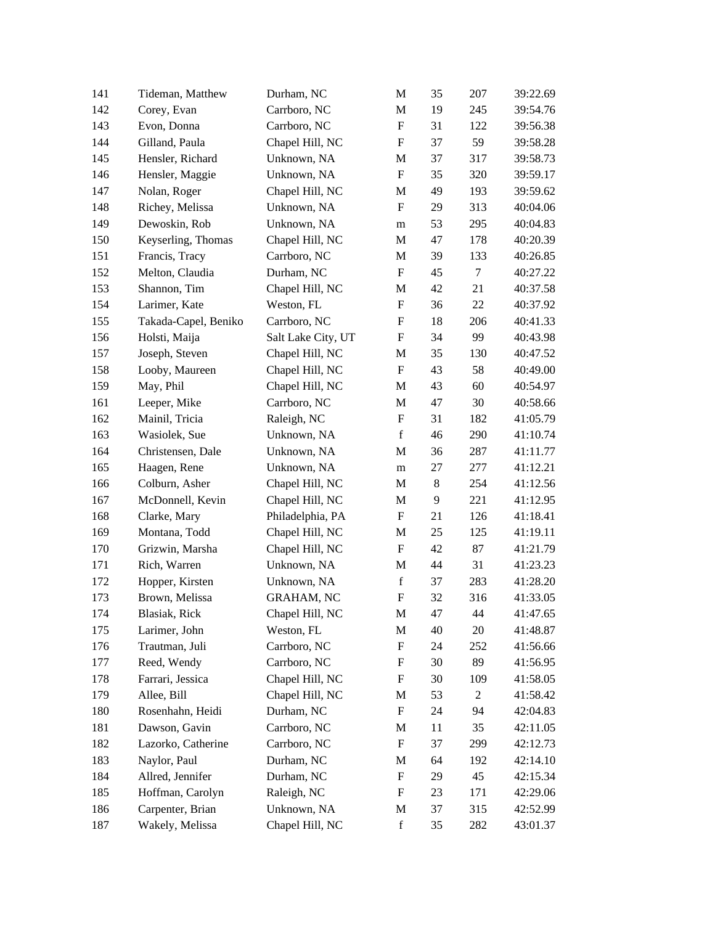| 141 | Tideman, Matthew     | Durham, NC         | M                         | 35             | 207            | 39:22.69 |
|-----|----------------------|--------------------|---------------------------|----------------|----------------|----------|
| 142 | Corey, Evan          | Carrboro, NC       | M                         | 19             | 245            | 39:54.76 |
| 143 | Evon, Donna          | Carrboro, NC       | $\mathbf F$               | 31             | 122            | 39:56.38 |
| 144 | Gilland, Paula       | Chapel Hill, NC    | $\boldsymbol{\mathrm{F}}$ | 37             | 59             | 39:58.28 |
| 145 | Hensler, Richard     | Unknown, NA        | M                         | 37             | 317            | 39:58.73 |
| 146 | Hensler, Maggie      | Unknown, NA        | $\mathbf F$               | 35             | 320            | 39:59.17 |
| 147 | Nolan, Roger         | Chapel Hill, NC    | M                         | 49             | 193            | 39:59.62 |
| 148 | Richey, Melissa      | Unknown, NA        | $\mathbf F$               | 29             | 313            | 40:04.06 |
| 149 | Dewoskin, Rob        | Unknown, NA        | ${\rm m}$                 | 53             | 295            | 40:04.83 |
| 150 | Keyserling, Thomas   | Chapel Hill, NC    | M                         | 47             | 178            | 40:20.39 |
| 151 | Francis, Tracy       | Carrboro, NC       | M                         | 39             | 133            | 40:26.85 |
| 152 | Melton, Claudia      | Durham, NC         | $\mathbf F$               | 45             | $\tau$         | 40:27.22 |
| 153 | Shannon, Tim         | Chapel Hill, NC    | M                         | 42             | 21             | 40:37.58 |
| 154 | Larimer, Kate        | Weston, FL         | $\mathbf F$               | 36             | 22             | 40:37.92 |
| 155 | Takada-Capel, Beniko | Carrboro, NC       | $\boldsymbol{\mathrm{F}}$ | 18             | 206            | 40:41.33 |
| 156 | Holsti, Maija        | Salt Lake City, UT | $\boldsymbol{\mathrm{F}}$ | 34             | 99             | 40:43.98 |
| 157 | Joseph, Steven       | Chapel Hill, NC    | M                         | 35             | 130            | 40:47.52 |
| 158 | Looby, Maureen       | Chapel Hill, NC    | $\mathbf F$               | 43             | 58             | 40:49.00 |
| 159 | May, Phil            | Chapel Hill, NC    | M                         | 43             | 60             | 40:54.97 |
| 161 | Leeper, Mike         | Carrboro, NC       | M                         | 47             | 30             | 40:58.66 |
| 162 | Mainil, Tricia       | Raleigh, NC        | F                         | 31             | 182            | 41:05.79 |
| 163 | Wasiolek, Sue        | Unknown, NA        | $\mathbf f$               | 46             | 290            | 41:10.74 |
| 164 | Christensen, Dale    | Unknown, NA        | M                         | 36             | 287            | 41:11.77 |
| 165 | Haagen, Rene         | Unknown, NA        | m                         | 27             | 277            | 41:12.21 |
| 166 | Colburn, Asher       | Chapel Hill, NC    | M                         | $8\,$          | 254            | 41:12.56 |
| 167 | McDonnell, Kevin     | Chapel Hill, NC    | M                         | $\overline{9}$ | 221            | 41:12.95 |
| 168 | Clarke, Mary         | Philadelphia, PA   | F                         | 21             | 126            | 41:18.41 |
| 169 | Montana, Todd        | Chapel Hill, NC    | M                         | 25             | 125            | 41:19.11 |
| 170 | Grizwin, Marsha      | Chapel Hill, NC    | $\mathbf F$               | 42             | 87             | 41:21.79 |
| 171 | Rich, Warren         | Unknown, NA        | M                         | 44             | 31             | 41:23.23 |
| 172 | Hopper, Kirsten      | Unknown, NA        | $\mathbf f$               | 37             | 283            | 41:28.20 |
| 173 | Brown, Melissa       | <b>GRAHAM, NC</b>  | ${\bf F}$                 | 32             | 316            | 41:33.05 |
| 174 | Blasiak, Rick        | Chapel Hill, NC    | $\mathbf M$               | 47             | 44             | 41:47.65 |
| 175 | Larimer, John        | Weston, FL         | M                         | 40             | 20             | 41:48.87 |
| 176 | Trautman, Juli       | Carrboro, NC       | $\boldsymbol{\mathrm{F}}$ | 24             | 252            | 41:56.66 |
| 177 | Reed, Wendy          | Carrboro, NC       | $\boldsymbol{\mathrm{F}}$ | 30             | 89             | 41:56.95 |
| 178 | Farrari, Jessica     | Chapel Hill, NC    | $\boldsymbol{\mathrm{F}}$ | 30             | 109            | 41:58.05 |
| 179 | Allee, Bill          | Chapel Hill, NC    | M                         | 53             | $\mathfrak{2}$ | 41:58.42 |
| 180 | Rosenhahn, Heidi     | Durham, NC         | $\boldsymbol{\mathrm{F}}$ | 24             | 94             | 42:04.83 |
| 181 | Dawson, Gavin        | Carrboro, NC       | M                         | 11             | 35             | 42:11.05 |
| 182 | Lazorko, Catherine   | Carrboro, NC       | $\boldsymbol{\mathrm{F}}$ | 37             | 299            | 42:12.73 |
| 183 | Naylor, Paul         | Durham, NC         | M                         | 64             | 192            | 42:14.10 |
| 184 | Allred, Jennifer     | Durham, NC         | F                         | 29             | 45             | 42:15.34 |
| 185 | Hoffman, Carolyn     | Raleigh, NC        | $\boldsymbol{\mathrm{F}}$ | 23             | 171            | 42:29.06 |
| 186 | Carpenter, Brian     | Unknown, NA        | M                         | 37             | 315            | 42:52.99 |
| 187 | Wakely, Melissa      | Chapel Hill, NC    | $\mathbf f$               | 35             | 282            | 43:01.37 |
|     |                      |                    |                           |                |                |          |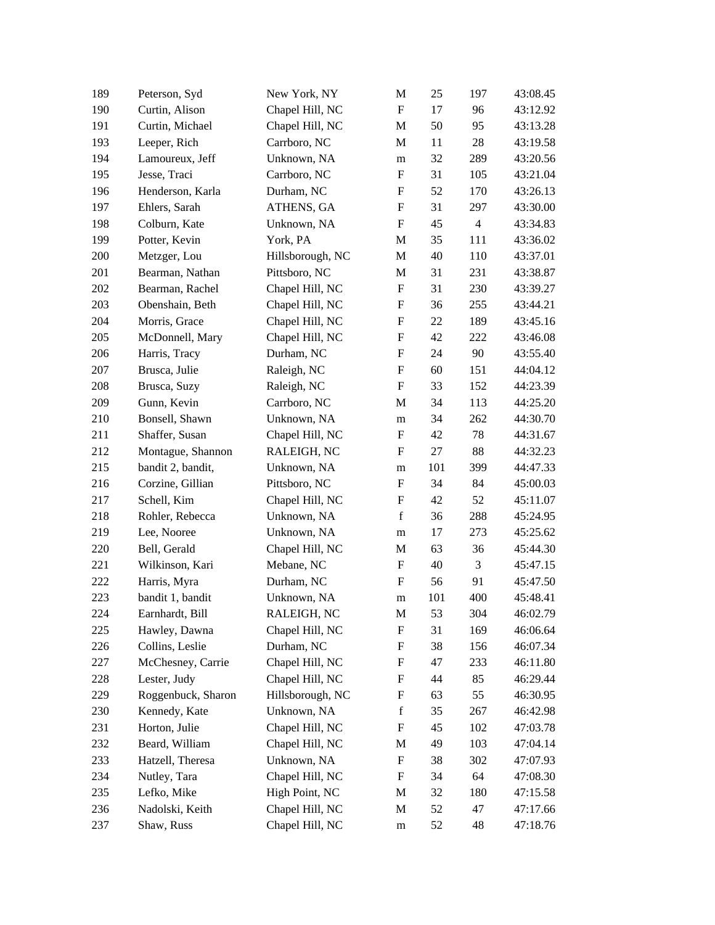| 189 | Peterson, Syd      | New York, NY     | M                         | 25  | 197            | 43:08.45 |
|-----|--------------------|------------------|---------------------------|-----|----------------|----------|
| 190 | Curtin, Alison     | Chapel Hill, NC  | $\mathbf F$               | 17  | 96             | 43:12.92 |
| 191 | Curtin, Michael    | Chapel Hill, NC  | M                         | 50  | 95             | 43:13.28 |
| 193 | Leeper, Rich       | Carrboro, NC     | M                         | 11  | 28             | 43:19.58 |
| 194 | Lamoureux, Jeff    | Unknown, NA      | m                         | 32  | 289            | 43:20.56 |
| 195 | Jesse, Traci       | Carrboro, NC     | $\boldsymbol{\mathrm{F}}$ | 31  | 105            | 43:21.04 |
| 196 | Henderson, Karla   | Durham, NC       | $\boldsymbol{\mathrm{F}}$ | 52  | 170            | 43:26.13 |
| 197 | Ehlers, Sarah      | ATHENS, GA       | $\boldsymbol{\mathrm{F}}$ | 31  | 297            | 43:30.00 |
| 198 | Colburn, Kate      | Unknown, NA      | $\boldsymbol{\mathrm{F}}$ | 45  | $\overline{4}$ | 43:34.83 |
| 199 | Potter, Kevin      | York, PA         | M                         | 35  | 111            | 43:36.02 |
| 200 | Metzger, Lou       | Hillsborough, NC | M                         | 40  | 110            | 43:37.01 |
| 201 | Bearman, Nathan    | Pittsboro, NC    | M                         | 31  | 231            | 43:38.87 |
| 202 | Bearman, Rachel    | Chapel Hill, NC  | $\boldsymbol{\mathrm{F}}$ | 31  | 230            | 43:39.27 |
| 203 | Obenshain, Beth    | Chapel Hill, NC  | F                         | 36  | 255            | 43:44.21 |
| 204 | Morris, Grace      | Chapel Hill, NC  | $\boldsymbol{\mathrm{F}}$ | 22  | 189            | 43:45.16 |
| 205 | McDonnell, Mary    | Chapel Hill, NC  | $\boldsymbol{\mathrm{F}}$ | 42  | 222            | 43:46.08 |
| 206 | Harris, Tracy      | Durham, NC       | $\boldsymbol{\mathrm{F}}$ | 24  | 90             | 43:55.40 |
| 207 | Brusca, Julie      | Raleigh, NC      | $\boldsymbol{\mathrm{F}}$ | 60  | 151            | 44:04.12 |
| 208 | Brusca, Suzy       | Raleigh, NC      | $\boldsymbol{\mathrm{F}}$ | 33  | 152            | 44:23.39 |
| 209 | Gunn, Kevin        | Carrboro, NC     | M                         | 34  | 113            | 44:25.20 |
| 210 | Bonsell, Shawn     | Unknown, NA      | m                         | 34  | 262            | 44:30.70 |
| 211 | Shaffer, Susan     | Chapel Hill, NC  | $\boldsymbol{\mathrm{F}}$ | 42  | 78             | 44:31.67 |
| 212 | Montague, Shannon  | RALEIGH, NC      | F                         | 27  | 88             | 44:32.23 |
| 215 | bandit 2, bandit,  | Unknown, NA      | ${\rm m}$                 | 101 | 399            | 44:47.33 |
| 216 | Corzine, Gillian   | Pittsboro, NC    | $\boldsymbol{\mathrm{F}}$ | 34  | 84             | 45:00.03 |
| 217 | Schell, Kim        | Chapel Hill, NC  | $\boldsymbol{\mathrm{F}}$ | 42  | 52             | 45:11.07 |
| 218 | Rohler, Rebecca    | Unknown, NA      | $\mathbf f$               | 36  | 288            | 45:24.95 |
| 219 | Lee, Nooree        | Unknown, NA      | m                         | 17  | 273            | 45:25.62 |
| 220 | Bell, Gerald       | Chapel Hill, NC  | M                         | 63  | 36             | 45:44.30 |
| 221 | Wilkinson, Kari    | Mebane, NC       | $\mathbf F$               | 40  | 3              | 45:47.15 |
| 222 | Harris, Myra       | Durham, NC       | $\mathbf F$               | 56  | 91             | 45:47.50 |
| 223 | bandit 1, bandit   | Unknown, NA      | ${\bf m}$                 | 101 | 400            | 45:48.41 |
| 224 | Earnhardt, Bill    | RALEIGH, NC      | $\mathbf M$               | 53  | 304            | 46:02.79 |
| 225 | Hawley, Dawna      | Chapel Hill, NC  | $\boldsymbol{\mathrm{F}}$ | 31  | 169            | 46:06.64 |
| 226 | Collins, Leslie    | Durham, NC       | $\boldsymbol{\mathrm{F}}$ | 38  | 156            | 46:07.34 |
| 227 | McChesney, Carrie  | Chapel Hill, NC  | F                         | 47  | 233            | 46:11.80 |
| 228 | Lester, Judy       | Chapel Hill, NC  | $\boldsymbol{\mathrm{F}}$ | 44  | 85             | 46:29.44 |
| 229 | Roggenbuck, Sharon | Hillsborough, NC | F                         | 63  | 55             | 46:30.95 |
| 230 | Kennedy, Kate      | Unknown, NA      | $\mathbf f$               | 35  | 267            | 46:42.98 |
| 231 | Horton, Julie      | Chapel Hill, NC  | $\boldsymbol{\mathrm{F}}$ | 45  | 102            | 47:03.78 |
| 232 | Beard, William     | Chapel Hill, NC  | M                         | 49  | 103            | 47:04.14 |
| 233 | Hatzell, Theresa   | Unknown, NA      | $\boldsymbol{\mathrm{F}}$ | 38  | 302            | 47:07.93 |
| 234 | Nutley, Tara       | Chapel Hill, NC  | $\boldsymbol{\mathrm{F}}$ | 34  | 64             | 47:08.30 |
| 235 | Lefko, Mike        | High Point, NC   | M                         | 32  | 180            | 47:15.58 |
| 236 | Nadolski, Keith    | Chapel Hill, NC  | M                         | 52  | 47             | 47:17.66 |
| 237 | Shaw, Russ         | Chapel Hill, NC  | ${\bf m}$                 | 52  | 48             | 47:18.76 |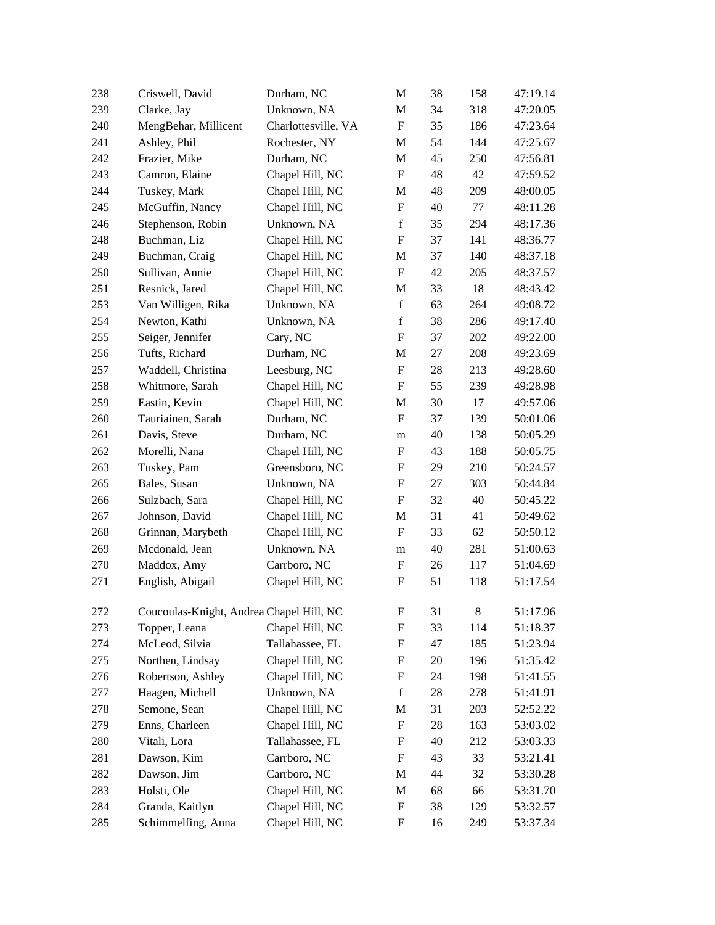| 238 | Criswell, David                          | Durham, NC          | M                         | 38     | 158     | 47:19.14 |
|-----|------------------------------------------|---------------------|---------------------------|--------|---------|----------|
| 239 | Clarke, Jay                              | Unknown, NA         | M                         | 34     | 318     | 47:20.05 |
| 240 | MengBehar, Millicent                     | Charlottesville, VA | $\mathbf F$               | 35     | 186     | 47:23.64 |
| 241 | Ashley, Phil                             | Rochester, NY       | M                         | 54     | 144     | 47:25.67 |
| 242 | Frazier, Mike                            | Durham, NC          | M                         | 45     | 250     | 47:56.81 |
| 243 | Camron, Elaine                           | Chapel Hill, NC     | $\boldsymbol{\mathrm{F}}$ | 48     | 42      | 47:59.52 |
| 244 | Tuskey, Mark                             | Chapel Hill, NC     | M                         | 48     | 209     | 48:00.05 |
| 245 | McGuffin, Nancy                          | Chapel Hill, NC     | $\boldsymbol{\mathrm{F}}$ | 40     | 77      | 48:11.28 |
| 246 | Stephenson, Robin                        | Unknown, NA         | $\mathbf f$               | 35     | 294     | 48:17.36 |
| 248 | Buchman, Liz                             | Chapel Hill, NC     | $\boldsymbol{\mathrm{F}}$ | 37     | 141     | 48:36.77 |
| 249 | Buchman, Craig                           | Chapel Hill, NC     | M                         | 37     | 140     | 48:37.18 |
| 250 | Sullivan, Annie                          | Chapel Hill, NC     | $\mathbf F$               | 42     | 205     | 48:37.57 |
| 251 | Resnick, Jared                           | Chapel Hill, NC     | M                         | 33     | 18      | 48:43.42 |
| 253 | Van Willigen, Rika                       | Unknown, NA         | $\mathbf f$               | 63     | 264     | 49:08.72 |
| 254 | Newton, Kathi                            | Unknown, NA         | $\mathbf f$               | 38     | 286     | 49:17.40 |
| 255 | Seiger, Jennifer                         | Cary, NC            | $\boldsymbol{\mathrm{F}}$ | 37     | 202     | 49:22.00 |
| 256 | Tufts, Richard                           | Durham, NC          | M                         | 27     | 208     | 49:23.69 |
| 257 | Waddell, Christina                       | Leesburg, NC        | $\boldsymbol{\mathrm{F}}$ | $28\,$ | 213     | 49:28.60 |
| 258 | Whitmore, Sarah                          | Chapel Hill, NC     | $\boldsymbol{\mathrm{F}}$ | 55     | 239     | 49:28.98 |
| 259 | Eastin, Kevin                            | Chapel Hill, NC     | M                         | 30     | 17      | 49:57.06 |
| 260 | Tauriainen, Sarah                        | Durham, NC          | F                         | 37     | 139     | 50:01.06 |
| 261 | Davis, Steve                             | Durham, NC          | m                         | 40     | 138     | 50:05.29 |
| 262 | Morelli, Nana                            | Chapel Hill, NC     | F                         | 43     | 188     | 50:05.75 |
| 263 | Tuskey, Pam                              | Greensboro, NC      | F                         | 29     | 210     | 50:24.57 |
| 265 | Bales, Susan                             | Unknown, NA         | $\boldsymbol{\mathrm{F}}$ | 27     | 303     | 50:44.84 |
| 266 | Sulzbach, Sara                           | Chapel Hill, NC     | F                         | 32     | 40      | 50:45.22 |
| 267 | Johnson, David                           | Chapel Hill, NC     | M                         | 31     | 41      | 50:49.62 |
| 268 | Grinnan, Marybeth                        | Chapel Hill, NC     | $\mathbf F$               | 33     | 62      | 50:50.12 |
| 269 | Mcdonald, Jean                           | Unknown, NA         | ${\rm m}$                 | 40     | 281     | 51:00.63 |
| 270 | Maddox, Amy                              | Carrboro, NC        | F                         | 26     | 117     | 51:04.69 |
| 271 | English, Abigail                         | Chapel Hill, NC     | F                         | 51     | 118     | 51:17.54 |
| 272 | Coucoulas-Knight, Andrea Chapel Hill, NC |                     | $\boldsymbol{\mathrm{F}}$ | 31     | $\,8\,$ | 51:17.96 |
| 273 | Topper, Leana                            | Chapel Hill, NC     | F                         | 33     | 114     | 51:18.37 |
| 274 | McLeod, Silvia                           | Tallahassee, FL     | $\boldsymbol{\mathrm{F}}$ | 47     | 185     | 51:23.94 |
| 275 | Northen, Lindsay                         | Chapel Hill, NC     | $\boldsymbol{\mathrm{F}}$ | 20     | 196     | 51:35.42 |
| 276 | Robertson, Ashley                        | Chapel Hill, NC     | F                         | 24     | 198     | 51:41.55 |
| 277 | Haagen, Michell                          | Unknown, NA         | $\mathbf f$               | 28     | $278\,$ | 51:41.91 |
| 278 | Semone, Sean                             | Chapel Hill, NC     | M                         | 31     | 203     | 52:52.22 |
| 279 | Enns, Charleen                           | Chapel Hill, NC     | $\boldsymbol{\mathrm{F}}$ | 28     | 163     | 53:03.02 |
| 280 | Vitali, Lora                             | Tallahassee, FL     | $\boldsymbol{\mathrm{F}}$ | 40     | 212     | 53:03.33 |
| 281 | Dawson, Kim                              | Carrboro, NC        | $\boldsymbol{\mathrm{F}}$ | 43     | 33      | 53:21.41 |
| 282 | Dawson, Jim                              | Carrboro, NC        | M                         | 44     | 32      | 53:30.28 |
| 283 | Holsti, Ole                              | Chapel Hill, NC     | M                         | 68     | 66      | 53:31.70 |
| 284 | Granda, Kaitlyn                          | Chapel Hill, NC     | $\boldsymbol{\mathrm{F}}$ | 38     | 129     | 53:32.57 |
| 285 | Schimmelfing, Anna                       | Chapel Hill, NC     | $\boldsymbol{\mathrm{F}}$ | 16     | 249     | 53:37.34 |